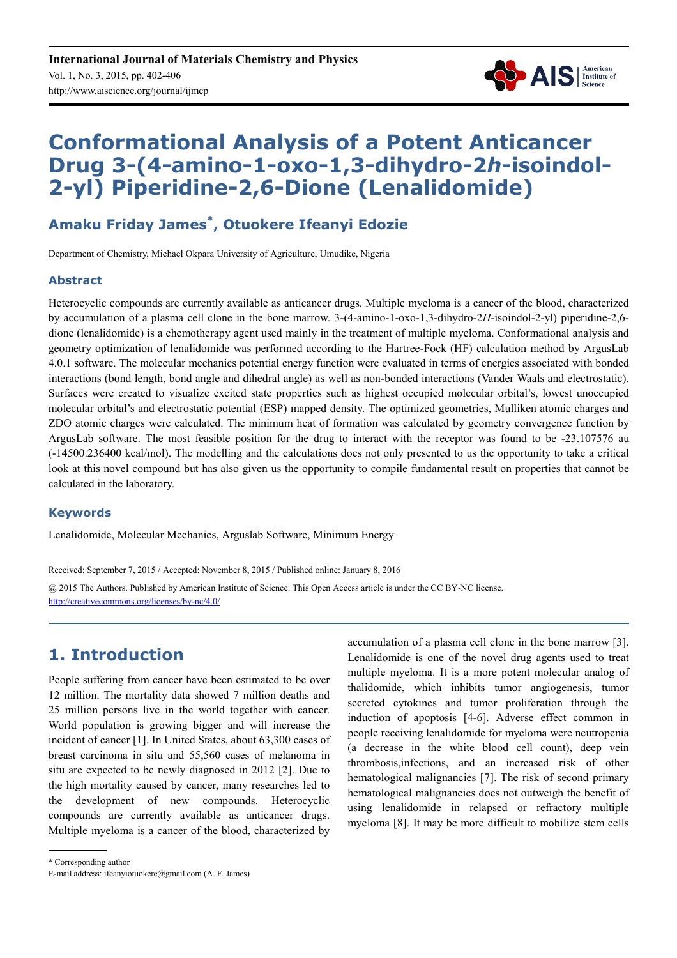

# **Conformational Analysis of a Potent Anticancer Drug 3-(4-amino-1-oxo-1,3-dihydro-2***h***-isoindol-2-yl) Piperidine-2,6-Dione (Lenalidomide)**

### **Amaku Friday James\* , Otuokere Ifeanyi Edozie**

Department of Chemistry, Michael Okpara University of Agriculture, Umudike, Nigeria

#### **Abstract**

Heterocyclic compounds are currently available as anticancer drugs. Multiple myeloma is a cancer of the blood, characterized by accumulation of a plasma cell clone in the bone marrow. 3-(4-amino-1-oxo-1,3-dihydro-2*H*-isoindol-2-yl) piperidine-2,6 dione (lenalidomide) is a chemotherapy agent used mainly in the treatment of multiple myeloma. Conformational analysis and geometry optimization of lenalidomide was performed according to the Hartree-Fock (HF) calculation method by ArgusLab 4.0.1 software. The molecular mechanics potential energy function were evaluated in terms of energies associated with bonded interactions (bond length, bond angle and dihedral angle) as well as non-bonded interactions (Vander Waals and electrostatic). Surfaces were created to visualize excited state properties such as highest occupied molecular orbital's, lowest unoccupied molecular orbital's and electrostatic potential (ESP) mapped density. The optimized geometries, Mulliken atomic charges and ZDO atomic charges were calculated. The minimum heat of formation was calculated by geometry convergence function by ArgusLab software. The most feasible position for the drug to interact with the receptor was found to be -23.107576 au (-14500.236400 kcal/mol). The modelling and the calculations does not only presented to us the opportunity to take a critical look at this novel compound but has also given us the opportunity to compile fundamental result on properties that cannot be calculated in the laboratory.

#### **Keywords**

Lenalidomide, Molecular Mechanics, Arguslab Software, Minimum Energy

Received: September 7, 2015 / Accepted: November 8, 2015 / Published online: January 8, 2016

@ 2015 The Authors. Published by American Institute of Science. This Open Access article is under the CC BY-NC license. http://creativecommons.org/licenses/by-nc/4.0/

## **1. Introduction**

People suffering from cancer have been estimated to be over 12 million. The mortality data showed 7 million deaths and 25 million persons live in the world together with cancer. World population is growing bigger and will increase the incident of cancer [1]. In United States, about 63,300 cases of breast carcinoma in situ and 55,560 cases of melanoma in situ are expected to be newly diagnosed in 2012 [2]. Due to the high mortality caused by cancer, many researches led to the development of new compounds. Heterocyclic compounds are currently available as anticancer drugs. Multiple myeloma is a cancer of the blood, characterized by accumulation of a plasma cell clone in the bone marrow [3]. Lenalidomide is one of the novel drug agents used to treat multiple myeloma. It is a more potent molecular analog of thalidomide, which inhibits tumor angiogenesis, tumor secreted cytokines and tumor proliferation through the induction of apoptosis [4-6]. Adverse effect common in people receiving lenalidomide for myeloma were neutropenia (a decrease in the white blood cell count), deep vein thrombosis,infections, and an increased risk of other hematological malignancies [7]. The risk of second primary hematological malignancies does not outweigh the benefit of using lenalidomide in relapsed or refractory multiple myeloma [8]. It may be more difficult to mobilize stem cells

<sup>\*</sup> Corresponding author

E-mail address: ifeanyiotuokere@gmail.com (A. F. James)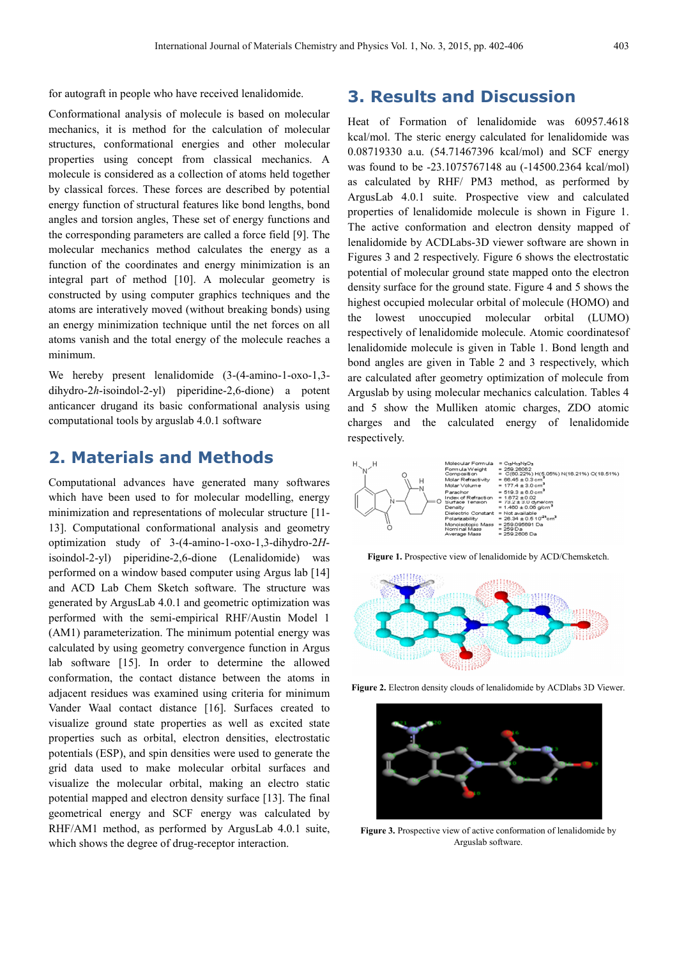for autograft in people who have received lenalidomide.

Conformational analysis of molecule is based on molecular mechanics, it is method for the calculation of molecular structures, conformational energies and other molecular properties using concept from classical mechanics. A molecule is considered as a collection of atoms held together by classical forces. These forces are described by potential energy function of structural features like bond lengths, bond angles and torsion angles, These set of energy functions and the corresponding parameters are called a force field [9]. The molecular mechanics method calculates the energy as a function of the coordinates and energy minimization is an integral part of method [10]. A molecular geometry is constructed by using computer graphics techniques and the atoms are interatively moved (without breaking bonds) using an energy minimization technique until the net forces on all atoms vanish and the total energy of the molecule reaches a minimum.

We hereby present lenalidomide (3-(4-amino-1-oxo-1,3 dihydro-2*h*-isoindol-2-yl) piperidine-2,6-dione) a potent anticancer drugand its basic conformational analysis using computational tools by arguslab 4.0.1 software

### **2. Materials and Methods**

Computational advances have generated many softwares which have been used to for molecular modelling, energy minimization and representations of molecular structure [11- 13]. Computational conformational analysis and geometry optimization study of 3-(4-amino-1-oxo-1,3-dihydro-2*H*isoindol-2-yl) piperidine-2,6-dione (Lenalidomide) was performed on a window based computer using Argus lab [14] and ACD Lab Chem Sketch software. The structure was generated by ArgusLab 4.0.1 and geometric optimization was performed with the semi-empirical RHF/Austin Model 1 (AM1) parameterization. The minimum potential energy was calculated by using geometry convergence function in Argus lab software [15]. In order to determine the allowed conformation, the contact distance between the atoms in adjacent residues was examined using criteria for minimum Vander Waal contact distance [16]. Surfaces created to visualize ground state properties as well as excited state properties such as orbital, electron densities, electrostatic potentials (ESP), and spin densities were used to generate the grid data used to make molecular orbital surfaces and visualize the molecular orbital, making an electro static potential mapped and electron density surface [13]. The final geometrical energy and SCF energy was calculated by RHF/AM1 method, as performed by ArgusLab 4.0.1 suite, which shows the degree of drug-receptor interaction.

### **3. Results and Discussion**

Heat of Formation of lenalidomide was 60957.4618 kcal/mol. The steric energy calculated for lenalidomide was 0.08719330 a.u. (54.71467396 kcal/mol) and SCF energy was found to be -23.1075767148 au (-14500.2364 kcal/mol) as calculated by RHF/ PM3 method, as performed by ArgusLab 4.0.1 suite. Prospective view and calculated properties of lenalidomide molecule is shown in Figure 1. The active conformation and electron density mapped of lenalidomide by ACDLabs-3D viewer software are shown in Figures 3 and 2 respectively. Figure 6 shows the electrostatic potential of molecular ground state mapped onto the electron density surface for the ground state. Figure 4 and 5 shows the highest occupied molecular orbital of molecule (HOMO) and the lowest unoccupied molecular orbital (LUMO) respectively of lenalidomide molecule. Atomic coordinatesof lenalidomide molecule is given in Table 1. Bond length and bond angles are given in Table 2 and 3 respectively, which are calculated after geometry optimization of molecule from Arguslab by using molecular mechanics calculation. Tables 4 and 5 show the Mulliken atomic charges, ZDO atomic charges and the calculated energy of lenalidomide respectively.



**Figure 1.** Prospective view of lenalidomide by ACD/Chemsketch.



**Figure 2.** Electron density clouds of lenalidomide by ACDlabs 3D Viewer.



**Figure 3.** Prospective view of active conformation of lenalidomide by Arguslab software.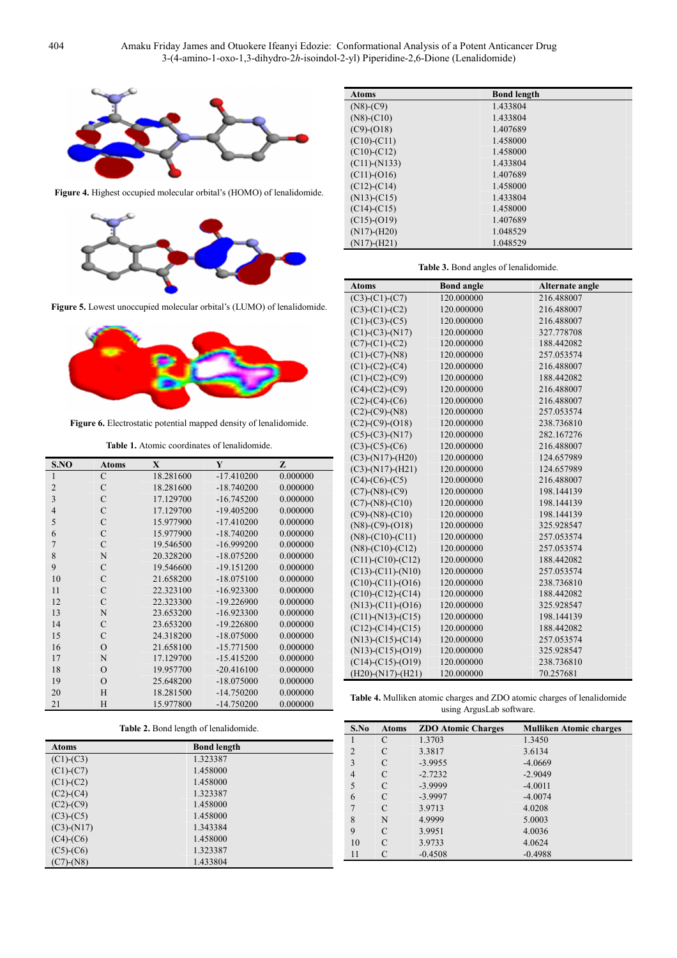

**Figure 4.** Highest occupied molecular orbital's (HOMO) of lenalidomide.



**Figure 5.** Lowest unoccupied molecular orbital's (LUMO) of lenalidomide.



**Figure 6.** Electrostatic potential mapped density of lenalidomide.

**Table 1.** Atomic coordinates of lenalidomide.

| S.NO           | <b>Atoms</b>  | X         | Y            | Z        |
|----------------|---------------|-----------|--------------|----------|
| 1              | $\mathcal{C}$ | 18.281600 | $-17.410200$ | 0.000000 |
| $\overline{2}$ | C             | 18.281600 | $-18.740200$ | 0.000000 |
| 3              | $\mathcal{C}$ | 17.129700 | $-16.745200$ | 0.000000 |
| $\overline{4}$ | C             | 17.129700 | $-19.405200$ | 0.000000 |
| 5              | $\mathcal{C}$ | 15.977900 | $-17.410200$ | 0.000000 |
| 6              | $\mathcal{C}$ | 15.977900 | $-18.740200$ | 0.000000 |
| $\overline{7}$ | $\mathcal{C}$ | 19.546500 | $-16.999200$ | 0.000000 |
| 8              | N             | 20.328200 | $-18.075200$ | 0.000000 |
| 9              | $\mathcal{C}$ | 19.546600 | $-19.151200$ | 0.000000 |
| 10             | $\mathcal{C}$ | 21.658200 | $-18.075100$ | 0.000000 |
| 11             | $\mathcal{C}$ | 22.323100 | $-16.923300$ | 0.000000 |
| 12             | $\mathcal{C}$ | 22.323300 | $-19.226900$ | 0.000000 |
| 13             | N             | 23.653200 | $-16.923300$ | 0.000000 |
| 14             | $\mathcal{C}$ | 23.653200 | $-19.226800$ | 0.000000 |
| 15             | C             | 24.318200 | $-18.075000$ | 0.000000 |
| 16             | $\Omega$      | 21.658100 | $-15.771500$ | 0.000000 |
| 17             | N             | 17.129700 | $-15.415200$ | 0.000000 |
| 18             | $\Omega$      | 19.957700 | $-20.416100$ | 0.000000 |
| 19             | $\Omega$      | 25.648200 | $-18.075000$ | 0.000000 |
| 20             | H             | 18.281500 | $-14.750200$ | 0.000000 |
| 21             | H             | 15.977800 | $-14.750200$ | 0.000000 |

**Table 2.** Bond length of lenalidomide.

| <b>Atoms</b>     | <b>Bond length</b> |
|------------------|--------------------|
| $(C1)-(C3)$      | 1.323387           |
| $(C1)-(C7)$      | 1.458000           |
| $(C1)-(C2)$      | 1.458000           |
| $(C2)-(C4)$      | 1.323387           |
| $(C2)-(C9)$      | 1.458000           |
| $(C3)-(C5)$      | 1.458000           |
| $(C3)$ - $(N17)$ | 1.343384           |
| $(C4)-(C6)$      | 1.458000           |
| $(C5)-(C6)$      | 1.323387           |
| $(C7)$ - $(N8)$  | 1.433804           |

| <b>Atoms</b>       | <b>Bond length</b> |  |
|--------------------|--------------------|--|
| $(N8)-(C9)$        | 1.433804           |  |
| $(N8)-(C10)$       | 1.433804           |  |
| $(C9)-(O18)$       | 1.407689           |  |
| $(C10)-(C11)$      | 1.458000           |  |
| $(C10)-(C12)$      | 1.458000           |  |
| $(C11)$ - $(N133)$ | 1.433804           |  |
| $(C11)-(O16)$      | 1.407689           |  |
| $(C12)-(C14)$      | 1.458000           |  |
| $(N13)-(C15)$      | 1.433804           |  |
| $(C14)-(C15)$      | 1.458000           |  |
| $(C15)-(O19)$      | 1.407689           |  |
| $(N17)$ - $(H20)$  | 1.048529           |  |
| $(N17)$ - $(H21)$  | 1.048529           |  |

#### **Table 3.** Bond angles of lenalidomide.

| Atoms                       | <b>Bond angle</b> | Alternate angle |
|-----------------------------|-------------------|-----------------|
| $(C3)-(C1)-(C7)$            | 120.000000        | 216.488007      |
| $(C3)-(C1)-(C2)$            | 120.000000        | 216.488007      |
| $(C1)-(C3)-(C5)$            | 120.000000        | 216.488007      |
| $(C1)-(C3)-(N17)$           | 120.000000        | 327.778708      |
| $(C7)-(C1)-(C2)$            | 120.000000        | 188.442082      |
| $(C1)-(C7)-(N8)$            | 120.000000        | 257.053574      |
| $(C1)-(C2)-(C4)$            | 120.000000        | 216.488007      |
| $(C1)-(C2)-(C9)$            | 120.000000        | 188.442082      |
| $(C4)-(C2)-(C9)$            | 120.000000        | 216.488007      |
| $(C2)-(C4)-(C6)$            | 120.000000        | 216.488007      |
| $(C2)-(C9)-(N8)$            | 120.000000        | 257.053574      |
| $(C2)-(C9)-(O18)$           | 120.000000        | 238.736810      |
| $(C5)-(C3)-(N17)$           | 120.000000        | 282.167276      |
| $(C3)-(C5)-(C6)$            | 120.000000        | 216.488007      |
| $(C3)$ -(N17)-(H20)         | 120.000000        | 124.657989      |
| $(C3)$ - $(N17)$ - $(H21)$  | 120.000000        | 124.657989      |
| $(C4)-(C6)-(C5)$            | 120.000000        | 216.488007      |
| $(C7)$ -(N8)-(C9)           | 120.000000        | 198.144139      |
| $(C7)$ - $(N8)$ - $(C10)$   | 120.000000        | 198.144139      |
| $(C9)$ - $(N8)$ - $(C10)$   | 120.000000        | 198.144139      |
| $(N8)-(C9)-(O18)$           | 120.000000        | 325.928547      |
| $(N8)-(C10)-(C11)$          | 120.000000        | 257.053574      |
| $(N8)-(C10)-(C12)$          | 120.000000        | 257.053574      |
| $(C11)-(C10)-(C12)$         | 120.000000        | 188.442082      |
| $(C13)-(C11)-(N10)$         | 120.000000        | 257.053574      |
| $(C10)-(C11)-(O16)$         | 120.000000        | 238.736810      |
| $(C10)-(C12)-(C14)$         | 120.000000        | 188.442082      |
| $(N13)-(C11)-(O16)$         | 120.000000        | 325.928547      |
| $(C11)$ - $(N13)$ - $(C15)$ | 120.000000        | 198.144139      |
| $(C12)-(C14)-(C15)$         | 120.000000        | 188.442082      |
| $(N13)-(C15)-(C14)$         | 120.000000        | 257.053574      |
| $(N13)-(C15)-(O19)$         | 120.000000        | 325.928547      |
| $(C14)-(C15)-(O19)$         | 120.000000        | 238.736810      |
| $(H20)$ -(N17)- $(H21)$     | 120.000000        | 70.257681       |

**Table 4.** Mulliken atomic charges and ZDO atomic charges of lenalidomide using ArgusLab software.

| S.No           | <b>Atoms</b>  | <b>ZDO Atomic Charges</b> | <b>Mulliken Atomic charges</b> |
|----------------|---------------|---------------------------|--------------------------------|
|                | C             | 1.3703                    | 1.3450                         |
| $\overline{2}$ | C             | 3.3817                    | 3.6134                         |
| 3              | C             | $-3.9955$                 | $-4.0669$                      |
| 4              | C             | $-2.7232$                 | $-2.9049$                      |
| 5              | $\mathcal{C}$ | $-3.9999$                 | $-4.0011$                      |
| 6              | C             | $-3.9997$                 | $-4.0074$                      |
| 7              | C             | 3.9713                    | 4.0208                         |
| 8              | N             | 4.9999                    | 5.0003                         |
| 9              | C             | 3.9951                    | 4.0036                         |
| 10             | C             | 3.9733                    | 4.0624                         |
| 11             |               | $-0.4508$                 | $-0.4988$                      |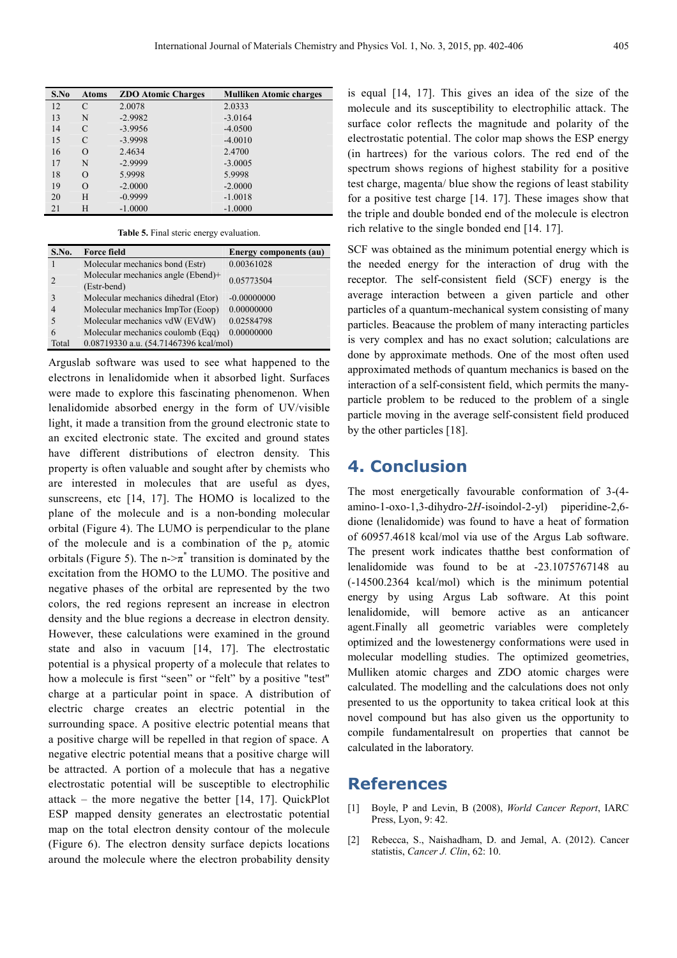| S.No | <b>Atoms</b> | <b>ZDO Atomic Charges</b> | <b>Mulliken Atomic charges</b> |
|------|--------------|---------------------------|--------------------------------|
| 12   | C            | 2.0078                    | 2.0333                         |
| 13   | N            | $-2.9982$                 | $-3.0164$                      |
| 14   | C            | $-3.9956$                 | $-4.0500$                      |
| 15   | C            | $-3.9998$                 | $-4.0010$                      |
| 16   | О            | 2.4634                    | 2.4700                         |
| 17   | N            | $-2.9999$                 | $-3.0005$                      |
| 18   | О            | 5.9998                    | 5.9998                         |
| 19   | О            | $-2.0000$                 | $-2.0000$                      |
| 20   | Н            | $-0.9999$                 | $-1.0018$                      |
| 21   | Н            | $-1.0000$                 | $-1.0000$                      |

**Table 5.** Final steric energy evaluation.

| S.No. | <b>Force field</b>                                | Energy components (au) |
|-------|---------------------------------------------------|------------------------|
|       | Molecular mechanics bond (Estr)                   | 0.00361028             |
|       | Molecular mechanics angle (Ebend)+<br>(Estr-bend) | 0.05773504             |
|       | Molecular mechanics dihedral (Etor)               | $-0.00000000$          |
|       | Molecular mechanics ImpTor (Eoop)                 | 0.00000000             |
|       | Molecular mechanics vdW (EVdW)                    | 0.02584798             |
| 6     | Molecular mechanics coulomb (Eqq)                 | 0.00000000             |
| Total | 0.08719330 a.u. (54.71467396 kcal/mol)            |                        |

Arguslab software was used to see what happened to the electrons in lenalidomide when it absorbed light. Surfaces were made to explore this fascinating phenomenon. When lenalidomide absorbed energy in the form of UV/visible light, it made a transition from the ground electronic state to an excited electronic state. The excited and ground states have different distributions of electron density. This property is often valuable and sought after by chemists who are interested in molecules that are useful as dyes, sunscreens, etc [14, 17]. The HOMO is localized to the plane of the molecule and is a non-bonding molecular orbital (Figure 4). The LUMO is perpendicular to the plane of the molecule and is a combination of the  $p_z$  atomic orbitals (Figure 5). The n- $\geq \pi^*$  transition is dominated by the excitation from the HOMO to the LUMO. The positive and negative phases of the orbital are represented by the two colors, the red regions represent an increase in electron density and the blue regions a decrease in electron density. However, these calculations were examined in the ground state and also in vacuum [14, 17]. The electrostatic potential is a physical property of a molecule that relates to how a molecule is first "seen" or "felt" by a positive "test" charge at a particular point in space. A distribution of electric charge creates an electric potential in the surrounding space. A positive electric potential means that a positive charge will be repelled in that region of space. A negative electric potential means that a positive charge will be attracted. A portion of a molecule that has a negative electrostatic potential will be susceptible to electrophilic attack – the more negative the better [14, 17]. QuickPlot ESP mapped density generates an electrostatic potential map on the total electron density contour of the molecule (Figure 6). The electron density surface depicts locations around the molecule where the electron probability density

is equal [14, 17]. This gives an idea of the size of the molecule and its susceptibility to electrophilic attack. The surface color reflects the magnitude and polarity of the electrostatic potential. The color map shows the ESP energy (in hartrees) for the various colors. The red end of the spectrum shows regions of highest stability for a positive test charge, magenta/ blue show the regions of least stability for a positive test charge [14. 17]. These images show that the triple and double bonded end of the molecule is electron rich relative to the single bonded end [14. 17].

SCF was obtained as the minimum potential energy which is the needed energy for the interaction of drug with the receptor. The self-consistent field (SCF) energy is the average interaction between a given particle and other particles of a quantum-mechanical system consisting of many particles. Beacause the problem of many interacting particles is very complex and has no exact solution; calculations are done by approximate methods. One of the most often used approximated methods of quantum mechanics is based on the interaction of a self-consistent field, which permits the manyparticle problem to be reduced to the problem of a single particle moving in the average self-consistent field produced by the other particles [18].

#### **4. Conclusion**

The most energetically favourable conformation of 3-(4 amino-1-oxo-1,3-dihydro-2*H*-isoindol-2-yl) piperidine-2,6 dione (lenalidomide) was found to have a heat of formation of 60957.4618 kcal/mol via use of the Argus Lab software. The present work indicates thatthe best conformation of lenalidomide was found to be at -23.1075767148 au (-14500.2364 kcal/mol) which is the minimum potential energy by using Argus Lab software. At this point lenalidomide, will bemore active as an anticancer agent.Finally all geometric variables were completely optimized and the lowestenergy conformations were used in molecular modelling studies. The optimized geometries, Mulliken atomic charges and ZDO atomic charges were calculated. The modelling and the calculations does not only presented to us the opportunity to takea critical look at this novel compound but has also given us the opportunity to compile fundamentalresult on properties that cannot be calculated in the laboratory.

#### **References**

- [1] Boyle, P and Levin, B (2008), *World Cancer Report*, IARC Press, Lyon, 9: 42.
- [2] Rebecca, S., Naishadham, D. and Jemal, A. (2012). Cancer statistis, *Cancer J. Clin*, 62: 10.